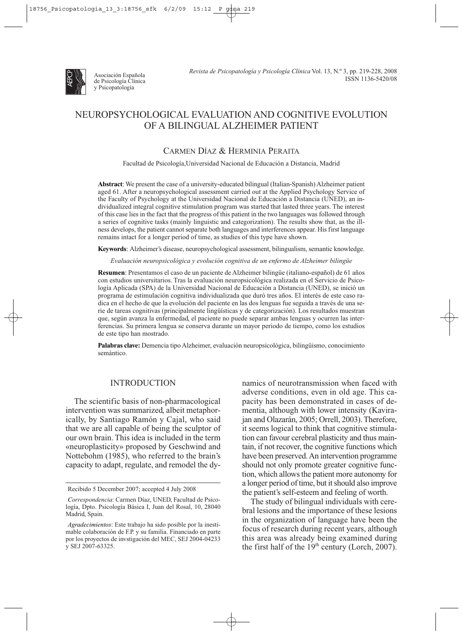

Asociación Española de Psicología Clínica y Psicopatología

# NEUROPSYCHOLOGICAL EVALUATION AND COGNITIVE EVOLUTION OF A BILINGUAL ALZHEIMER PATIENT

## CARMEN DÍAZ & HERMINIA PERAITA

Facultad de Psicología,Universidad Nacional de Educación a Distancia, Madrid

**Abstract**: We present the case of a university-educated bilingual (Italian-Spanish) Alzheimer patient aged 61. After a neuropsychological assessment carried out at the Applied Psychology Service of the Faculty of Psychology at the Universidad Nacional de Educación a Distancia (UNED), an individualized integral cognitive stimulation program was started that lasted three years. The interest of this case lies in the fact that the progress of this patient in the two languages was followed through a series of cognitive tasks (mainly linguistic and categorization). The results show that, as the illness develops, the patient cannot separate both languages and interferences appear. His first language remains intact for a longer period of time, as studies of this type have shown.

**Keywords**: Alzheimer's disease, neuropsychological assessment, bilingualism, semantic knowledge.

*Evaluación neuropsicológica y evolución cognitiva de un enfermo de Alzheimer bilingüe*

**Resumen**: Presentamos el caso de un paciente de Alzheimer bilingüe (italiano-español) de 61 años con estudios universitarios. Tras la evaluación neuropsicológica realizada en el Servicio de Psicología Aplicada (SPA) de la Universidad Nacional de Educación a Distancia (UNED), se inició un programa de estimulación cognitiva individualizada que duró tres años. El interés de este caso radica en el hecho de que la evolución del paciente en las dos lenguas fue seguida a través de una serie de tareas cognitivas (principalmente lingüísticas y de categorización). Los resultados muestran que, según avanza la enfermedad, el paciente no puede separar ambas lenguas y ocurren las interferencias. Su primera lengua se conserva durante un mayor periodo de tiempo, como los estudios de este tipo han mostrado.

**Palabras clave:** Demencia tipo Alzheimer, evaluación neuropsicológica, bilingüismo, conocimiento semántico.

## INTRODUCTION

The scientific basis of non-pharmacological intervention was summarized, albeit metaphorically, by Santiago Ramón y Cajal, who said that we are all capable of being the sculptor of our own brain. This idea is included in the term «neuroplasticity» proposed by Geschwind and Nottebohm (1985), who referred to the brain's capacity to adapt, regulate, and remodel the dy-

namics of neurotransmission when faced with adverse conditions, even in old age. This capacity has been demonstrated in cases of dementia, although with lower intensity (Kavirajan and Olazarán, 2005; Orrell, 2003). Therefore, it seems logical to think that cognitive stimulation can favour cerebral plasticity and thus maintain, if not recover, the cognitive functions which have been preserved. An intervention programme should not only promote greater cognitive function, which allows the patient more autonomy for a longer period of time, but it should also improve the patient's self-esteem and feeling of worth.

The study of bilingual individuals with cerebral lesions and the importance of these lesions in the organization of language have been the focus of research during recent years, although this area was already being examined during the first half of the  $19<sup>th</sup>$  century (Lorch, 2007).

Recibido 5 December 2007; accepted 4 July 2008

*Correspondencia*: Carmen Díaz, UNED, Facultad de Psicología, Dpto. Psicología Básica I, Juan del Rosal, 10, 28040 Madrid, Spain.

*Agradecimientos*: Este trabajo ha sido posible por la inestimable colaboración de F.P. y su familia. Financiado en parte por los proyectos de invstigación del MEC, SEJ 2004-04233 y SEJ 2007-63325.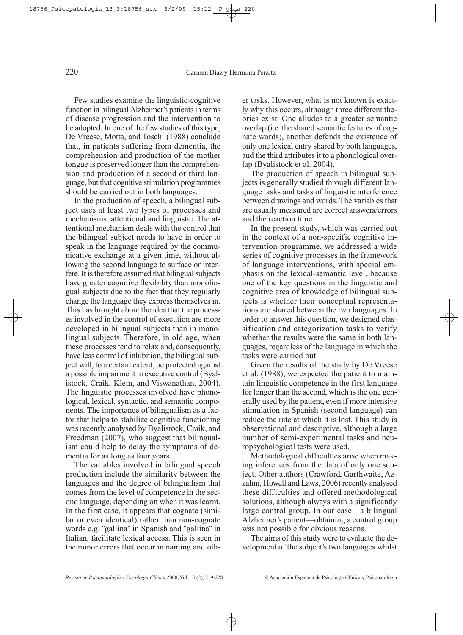Few studies examine the linguistic-cognitive function in bilingual Alzheimer's patients in terms of disease progression and the intervention to be adopted. In one of the few studies of this type, De Vreese, Motta, and Toschi (1988) conclude that, in patients suffering from dementia, the comprehension and production of the mother tongue is preserved longer than the comprehension and production of a second or third language, but that cognitive stimulation programmes should be carried out in both languages.

In the production of speech, a bilingual subject uses at least two types of processes and mechanisms: attentional and linguistic. The attentional mechanism deals with the control that the bilingual subject needs to have in order to speak in the language required by the communicative exchange at a given time, without allowing the second language to surface or interfere. It is therefore assumed that bilingual subjects have greater cognitive flexibility than monolingual subjects due to the fact that they regularly change the language they express themselves in. This has brought about the idea that the processes involved in the control of execution are more developed in bilingual subjects than in monolingual subjects. Therefore, in old age, when these processes tend to relax and, consequently, have less control of inhibition, the bilingual subject will, to a certain extent, be protected against a possible impairment in executive control (Byalistock, Craik, Klein, and Viswanathan, 2004). The linguistic processes involved have phonological, lexical, syntactic, and semantic components. The importance of bilingualism as a factor that helps to stabilize cognitive functioning was recently analysed by Byalistock, Craik, and Freedman (2007), who suggest that bilingualism could help to delay the symptoms of dementia for as long as four years.

The variables involved in bilingual speech production include the similarity between the languages and the degree of bilingualism that comes from the level of competence in the second language, depending on when it was learnt. In the first case, it appears that cognate (similar or even identical) rather than non-cognate words e.g. ¨gallina¨ in Spanish and ¨gallina¨ in Italian, facilitate lexical access. This is seen in the minor errors that occur in naming and oth-

er tasks. However, what is not known is exactly why this occurs, although three different theories exist. One alludes to a greater semantic overlap (i.e. the shared semantic features of cognate words), another defends the existence of only one lexical entry shared by both languages, and the third attributes it to a phonological overlap (Byalistock et al. 2004).

The production of speech in bilingual subjects is generally studied through different language tasks and tasks of linguistic interference between drawings and words. The variables that are usually measured are correct answers/errors and the reaction time.

In the present study, which was carried out in the context of a non-specific cognitive intervention programme, we addressed a wide series of cognitive processes in the framework of language interventions, with special emphasis on the lexical-semantic level, because one of the key questions in the linguistic and cognitive area of knowledge of bilingual subjects is whether their conceptual representations are shared between the two languages. In order to answer this question, we designed classification and categorization tasks to verify whether the results were the same in both languages, regardless of the language in which the tasks were carried out.

Given the results of the study by De Vreese et al. (1988), we expected the patient to maintain linguistic competence in the first language for longer than the second, which is the one generally used by the patient, even if more intensive stimulation in Spanish (second language) can reduce the rate at which it is lost. This study is observational and descriptive, although a large number of semi-experimental tasks and neuropsychological tests were used.

Methodological difficulties arise when making inferences from the data of only one subject. Other authors (Crawford, Garthwaite, Azzalini, Howell and Laws, 2006) recently analysed these difficulties and offered methodological solutions, although always with a significantly large control group. In our case—a bilingual Alzheimer's patient—obtaining a control group was not possible for obvious reasons.

The aims of this study were to evaluate the development of the subject's two languages whilst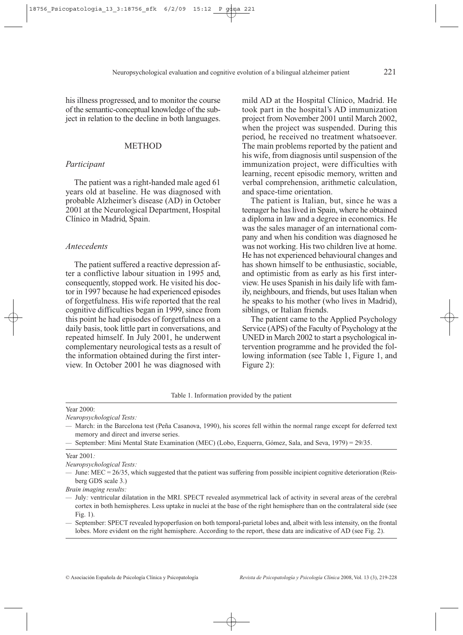his illness progressed, and to monitor the course of the semantic-conceptual knowledge of the subject in relation to the decline in both languages.

### **METHOD**

### *Participant*

The patient was a right-handed male aged 61 years old at baseline. He was diagnosed with probable Alzheimer's disease (AD) in October 2001 at the Neurological Department, Hospital Clínico in Madrid, Spain.

### *Antecedents*

The patient suffered a reactive depression after a conflictive labour situation in 1995 and, consequently, stopped work. He visited his doctor in 1997 because he had experienced episodes of forgetfulness. His wife reported that the real cognitive difficulties began in 1999, since from this point he had episodes of forgetfulness on a daily basis, took little part in conversations, and repeated himself. In July 2001, he underwent complementary neurological tests as a result of the information obtained during the first interview. In October 2001 he was diagnosed with

mild AD at the Hospital Clínico, Madrid. He took part in the hospital's AD immunization project from November 2001 until March 2002, when the project was suspended. During this period, he received no treatment whatsoever. The main problems reported by the patient and his wife, from diagnosis until suspension of the immunization project, were difficulties with learning, recent episodic memory, written and verbal comprehension, arithmetic calculation, and space-time orientation.

The patient is Italian, but, since he was a teenager he has lived in Spain, where he obtained a diploma in law and a degree in economics. He was the sales manager of an international company and when his condition was diagnosed he was not working. His two children live at home. He has not experienced behavioural changes and has shown himself to be enthusiastic, sociable, and optimistic from as early as his first interview. He uses Spanish in his daily life with family, neighbours, and friends, but uses Italian when he speaks to his mother (who lives in Madrid), siblings, or Italian friends.

The patient came to the Applied Psychology Service (APS) of the Faculty of Psychology at the UNED in March 2002 to start a psychological intervention programme and he provided the following information (see Table 1, Figure 1, and Figure 2):

Table 1. Information provided by the patient

#### Year 2000:

*Neuropsychological Tests:*

- March: in the Barcelona test (Peña Casanova, 1990), his scores fell within the normal range except for deferred text memory and direct and inverse series.
- September: Mini Mental State Examination (MEC) (Lobo, Ezquerra, Gómez, Sala, and Seva, 1979) = 29/35.

#### Year 2001*:*

*Neuropsychological Tests:*

*—* June: MEC = 26/35, which suggested that the patient was suffering from possible incipient cognitive deterioration (Reisberg GDS scale 3.)

*Brain imaging results:*

- July*:* ventricular dilatation in the MRI. SPECT revealed asymmetrical lack of activity in several areas of the cerebral cortex in both hemispheres. Less uptake in nuclei at the base of the right hemisphere than on the contralateral side (see Fig. 1).
- September: SPECT revealed hypoperfusion on both temporal-parietal lobes and, albeit with less intensity, on the frontal lobes. More evident on the right hemisphere. According to the report, these data are indicative of AD (see Fig. 2).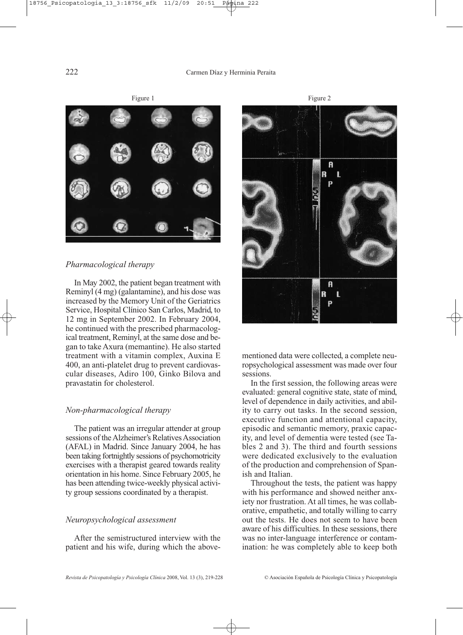

# *Pharmacological therapy*

In May 2002, the patient began treatment with Reminyl (4 mg) (galantamine), and his dose was increased by the Memory Unit of the Geriatrics Service, Hospital Clínico San Carlos, Madrid, to 12 mg in September 2002. In February 2004, he continued with the prescribed pharmacological treatment, Reminyl, at the same dose and began to take Axura (memantine). He also started treatment with a vitamin complex, Auxina E 400, an anti-platelet drug to prevent cardiovascular diseases, Adiro 100, Ginko Bilova and pravastatin for cholesterol.

### *Non-pharmacological therapy*

The patient was an irregular attender at group sessions of the Alzheimer's Relatives Association (AFAL) in Madrid. Since January 2004, he has been taking fortnightly sessions of psychomotricity exercises with a therapist geared towards reality orientation in his home. Since February 2005, he has been attending twice-weekly physical activity group sessions coordinated by a therapist.

## *Neuropsychological assessment*

After the semistructured interview with the patient and his wife, during which the above-



mentioned data were collected, a complete neuropsychological assessment was made over four sessions.

In the first session, the following areas were evaluated: general cognitive state, state of mind, level of dependence in daily activities, and ability to carry out tasks. In the second session, executive function and attentional capacity, episodic and semantic memory, praxic capacity, and level of dementia were tested (see Tables 2 and 3). The third and fourth sessions were dedicated exclusively to the evaluation of the production and comprehension of Spanish and Italian.

Throughout the tests, the patient was happy with his performance and showed neither anxiety nor frustration. At all times, he was collaborative, empathetic, and totally willing to carry out the tests. He does not seem to have been aware of his difficulties. In these sessions, there was no inter-language interference or contamination: he was completely able to keep both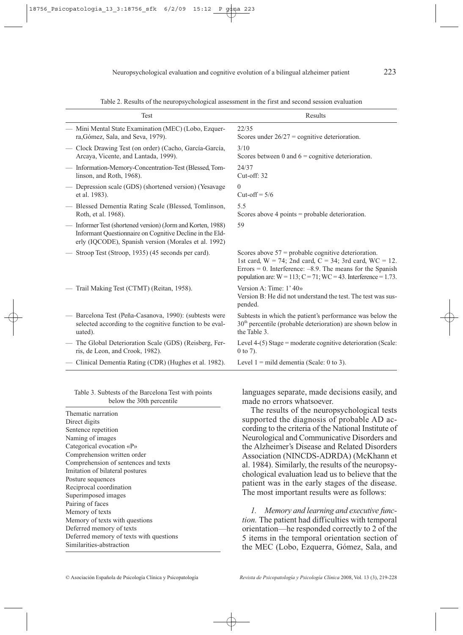| Test                                                                                                                                                                            | Results                                                                                                                                                                                                                                                             |  |  |
|---------------------------------------------------------------------------------------------------------------------------------------------------------------------------------|---------------------------------------------------------------------------------------------------------------------------------------------------------------------------------------------------------------------------------------------------------------------|--|--|
| - Mini Mental State Examination (MEC) (Lobo, Ezquer-                                                                                                                            | 22/35                                                                                                                                                                                                                                                               |  |  |
| ra, Gómez, Sala, and Seva, 1979).                                                                                                                                               | Scores under $26/27$ = cognitive deterioration.                                                                                                                                                                                                                     |  |  |
| — Clock Drawing Test (on order) (Cacho, García-García,                                                                                                                          | 3/10                                                                                                                                                                                                                                                                |  |  |
| Arcaya, Vicente, and Lantada, 1999).                                                                                                                                            | Scores between 0 and $6 =$ cognitive deterioration.                                                                                                                                                                                                                 |  |  |
| Information-Memory-Concentration-Test (Blessed, Tom-                                                                                                                            | 24/37                                                                                                                                                                                                                                                               |  |  |
| linson, and Roth, 1968).                                                                                                                                                        | Cut-off: $32$                                                                                                                                                                                                                                                       |  |  |
| — Depression scale (GDS) (shortened version) (Yesavage                                                                                                                          | $\theta$                                                                                                                                                                                                                                                            |  |  |
| et al. 1983).                                                                                                                                                                   | Cut-off = $5/6$                                                                                                                                                                                                                                                     |  |  |
| — Blessed Dementia Rating Scale (Blessed, Tomlinson,                                                                                                                            | 5.5                                                                                                                                                                                                                                                                 |  |  |
| Roth, et al. 1968).                                                                                                                                                             | Scores above 4 points $=$ probable deterioration.                                                                                                                                                                                                                   |  |  |
| — Informer Test (shortened version) (Jorm and Korten, 1988)<br>Informant Questionnaire on Cognitive Decline in the Eld-<br>erly (IOCODE), Spanish version (Morales et al. 1992) | 59                                                                                                                                                                                                                                                                  |  |  |
| Stroop Test (Stroop, 1935) (45 seconds per card).                                                                                                                               | Scores above $57$ = probable cognitive deterioration.<br>1st card, $W = 74$ ; 2nd card, $C = 34$ ; 3rd card, $WC = 12$ .<br>Errors = 0. Interference: $-8.9$ . The means for the Spanish<br>population are: $W = 113$ ; $C = 71$ ; $WC = 43$ . Interference = 1.73. |  |  |
| — Trail Making Test (CTMT) (Reitan, 1958).                                                                                                                                      | Version A: Time: $1'$ 40»<br>Version B: He did not understand the test. The test was sus-<br>pended.                                                                                                                                                                |  |  |
| - Barcelona Test (Peña-Casanova, 1990): (subtests were                                                                                                                          | Subtests in which the patient's performance was below the                                                                                                                                                                                                           |  |  |
| selected according to the cognitive function to be eval-                                                                                                                        | 30 <sup>th</sup> percentile (probable deterioration) are shown below in                                                                                                                                                                                             |  |  |
| uated).                                                                                                                                                                         | the Table 3.                                                                                                                                                                                                                                                        |  |  |
| - The Global Deterioration Scale (GDS) (Reisberg, Fer-                                                                                                                          | Level 4- $(5)$ Stage = moderate cognitive deterioration (Scale:                                                                                                                                                                                                     |  |  |
| ris, de Leon, and Crook, 1982).                                                                                                                                                 | $0$ to $7$ ).                                                                                                                                                                                                                                                       |  |  |
| Clinical Dementia Rating (CDR) (Hughes et al. 1982).                                                                                                                            | Level $1 =$ mild dementia (Scale: 0 to 3).                                                                                                                                                                                                                          |  |  |

Table 2. Results of the neuropsychological assessment in the first and second session evaluation

Table 3. Subtests of the Barcelona Test with points below the 30th percentile

| Thematic narration                      |
|-----------------------------------------|
| Direct digits                           |
| Sentence repetition                     |
| Naming of images                        |
| Categorical evocation «P»               |
| Comprehension written order             |
| Comprehension of sentences and texts    |
| Imitation of bilateral postures         |
| Posture sequences                       |
| Reciprocal coordination                 |
| Superimposed images                     |
| Pairing of faces                        |
| Memory of texts                         |
| Memory of texts with questions          |
| Deferred memory of texts                |
| Deferred memory of texts with questions |
| Similarities-abstraction                |

languages separate, made decisions easily, and made no errors whatsoever.

The results of the neuropsychological tests supported the diagnosis of probable AD according to the criteria of the National Institute of Neurological and Communicative Disorders and the Alzheimer's Disease and Related Disorders Association (NINCDS-ADRDA) (McKhann et al. 1984). Similarly, the results of the neuropsychological evaluation lead us to believe that the patient was in the early stages of the disease. The most important results were as follows:

*1. Memory and learning and executive function.* The patient had difficulties with temporal orientation—he responded correctly to 2 of the 5 items in the temporal orientation section of the MEC (Lobo, Ezquerra, Gómez, Sala, and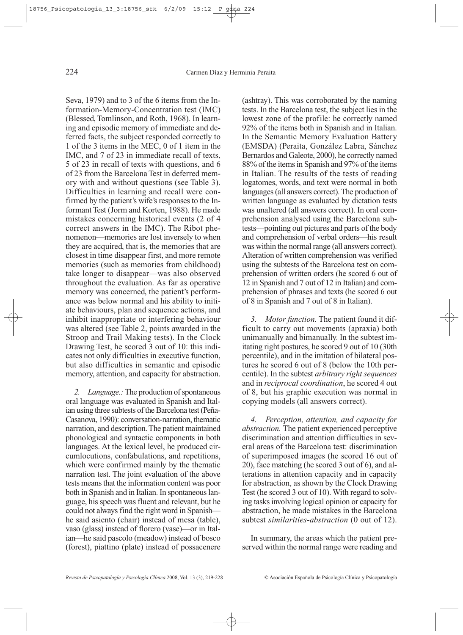Seva, 1979) and to 3 of the 6 items from the Information-Memory-Concentration test (IMC) (Blessed, Tomlinson, and Roth, 1968). In learning and episodic memory of immediate and deferred facts, the subject responded correctly to 1 of the 3 items in the MEC, 0 of 1 item in the IMC, and 7 of 23 in immediate recall of texts, 5 of 23 in recall of texts with questions, and 6 of 23 from the Barcelona Test in deferred memory with and without questions (see Table 3). Difficulties in learning and recall were confirmed by the patient's wife's responses to the Informant Test (Jorm and Korten, 1988). He made mistakes concerning historical events (2 of 4 correct answers in the IMC). The Ribot phenomenon—memories are lost inversely to when they are acquired, that is, the memories that are closest in time disappear first, and more remote memories (such as memories from childhood) take longer to disappear—was also observed throughout the evaluation. As far as operative memory was concerned, the patient's performance was below normal and his ability to initiate behaviours, plan and sequence actions, and inhibit inappropriate or interfering behaviour was altered (see Table 2, points awarded in the Stroop and Trail Making tests). In the Clock Drawing Test, he scored 3 out of 10: this indicates not only difficulties in executive function, but also difficulties in semantic and episodic memory, attention, and capacity for abstraction.

*2. Language.:* The production of spontaneous oral language was evaluated in Spanish and Italian using three subtests of the Barcelona test (Peña-Casanova, 1990): conversation-narration, thematic narration, and description. The patient maintained phonological and syntactic components in both languages. At the lexical level, he produced circumlocutions, confabulations, and repetitions, which were confirmed mainly by the thematic narration test. The joint evaluation of the above tests means that the information content was poor both in Spanish and in Italian. In spontaneous language, his speech was fluent and relevant, but he could not always find the right word in Spanish he said asiento (chair) instead of mesa (table), vaso (glass) instead of florero (vase)—or in Italian—he said pascolo (meadow) instead of bosco (forest), piattino (plate) instead of possacenere

(ashtray). This was corroborated by the naming tests. In the Barcelona test, the subject lies in the lowest zone of the profile: he correctly named 92% of the items both in Spanish and in Italian. In the Semantic Memory Evaluation Battery (EMSDA) (Peraita, González Labra, Sánchez Bernardos and Galeote, 2000), he correctly named 88% of the items in Spanish and 97% of the items in Italian. The results of the tests of reading logatomes, words, and text were normal in both languages (all answers correct). The production of written language as evaluated by dictation tests was unaltered (all answers correct). In oral comprehension analysed using the Barcelona subtests—pointing out pictures and parts of the body and comprehension of verbal orders—his result was within the normal range (all answers correct). Alteration of written comprehension was verified using the subtests of the Barcelona test on comprehension of written orders (he scored 6 out of 12 in Spanish and 7 out of 12 in Italian) and comprehension of phrases and texts (he scored 6 out of 8 in Spanish and 7 out of 8 in Italian).

*3. Motor function.* The patient found it difficult to carry out movements (apraxia) both unimanually and bimanually. In the subtest imitating right postures, he scored 9 out of 10 (30th percentile), and in the imitation of bilateral postures he scored 6 out of 8 (below the 10th percentile). In the subtest *arbitrary right sequences* and in *reciprocal coordination*, he scored 4 out of 8, but his graphic execution was normal in copying models (all answers correct).

*4. Perception, attention, and capacity for abstraction.* The patient experienced perceptive discrimination and attention difficulties in several areas of the Barcelona test: discrimination of superimposed images (he scored 16 out of 20), face matching (he scored 3 out of 6), and alterations in attention capacity and in capacity for abstraction, as shown by the Clock Drawing Test (he scored 3 out of 10). With regard to solving tasks involving logical opinion or capacity for abstraction, he made mistakes in the Barcelona subtest *similarities-abstraction* (0 out of 12).

In summary, the areas which the patient preserved within the normal range were reading and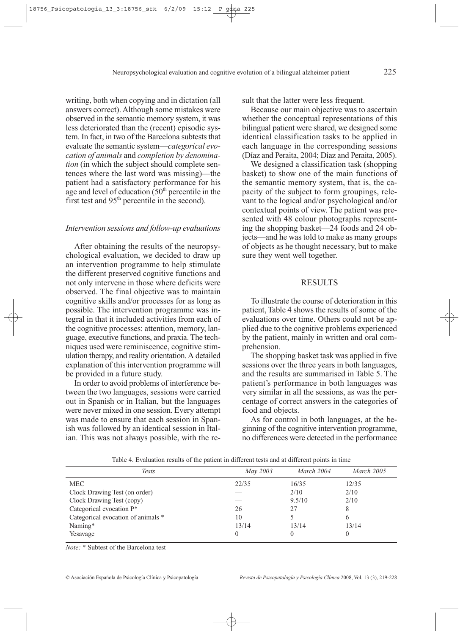writing, both when copying and in dictation (all answers correct). Although some mistakes were observed in the semantic memory system, it was less deteriorated than the (recent) episodic system. In fact, in two of the Barcelona subtests that evaluate the semantic system—*categorical evocation of animals* and *completion by denomina-*

*tion* (in which the subject should complete sentences where the last word was missing)—the patient had a satisfactory performance for his age and level of education  $(50<sup>th</sup>$  percentile in the first test and  $95<sup>th</sup>$  percentile in the second).

## *Intervention sessions and follow-up evaluations*

After obtaining the results of the neuropsychological evaluation, we decided to draw up an intervention programme to help stimulate the different preserved cognitive functions and not only intervene in those where deficits were observed. The final objective was to maintain cognitive skills and/or processes for as long as possible. The intervention programme was integral in that it included activities from each of the cognitive processes: attention, memory, language, executive functions, and praxia. The techniques used were reminiscence, cognitive stimulation therapy, and reality orientation. A detailed explanation of this intervention programme will be provided in a future study.

In order to avoid problems of interference between the two languages, sessions were carried out in Spanish or in Italian, but the languages were never mixed in one session. Every attempt was made to ensure that each session in Spanish was followed by an identical session in Italian. This was not always possible, with the result that the latter were less frequent.

Because our main objective was to ascertain whether the conceptual representations of this bilingual patient were shared, we designed some identical classification tasks to be applied in each language in the corresponding sessions (Díaz and Peraita, 2004; Díaz and Peraita, 2005).

We designed a classification task (shopping) basket) to show one of the main functions of the semantic memory system, that is, the capacity of the subject to form groupings, relevant to the logical and/or psychological and/or contextual points of view. The patient was presented with 48 colour photographs representing the shopping basket—24 foods and 24 objects—and he was told to make as many groups of objects as he thought necessary, but to make sure they went well together.

## RESULTS

To illustrate the course of deterioration in this patient, Table 4 shows the results of some of the evaluations over time. Others could not be applied due to the cognitive problems experienced by the patient, mainly in written and oral comprehension.

The shopping basket task was applied in five sessions over the three years in both languages, and the results are summarised in Table 5. The patient's performance in both languages was very similar in all the sessions, as was the percentage of correct answers in the categories of food and objects.

As for control in both languages, at the beginning of the cognitive intervention programme, no differences were detected in the performance

| May 2003 | March 2004 | March 2005 |  |  |
|----------|------------|------------|--|--|
| 22/35    | 16/35      | 12/35      |  |  |
|          | 2/10       | 2/10       |  |  |
|          | 9.5/10     | 2/10       |  |  |
| 26       | 27         | 8          |  |  |
| 10       |            | 6          |  |  |
| 13/14    | 13/14      | 13/14      |  |  |
| 0        | $\theta$   | 0          |  |  |
|          |            |            |  |  |

Table 4. Evaluation results of the patient in different tests and at different points in time

*Note:* \* Subtest of the Barcelona test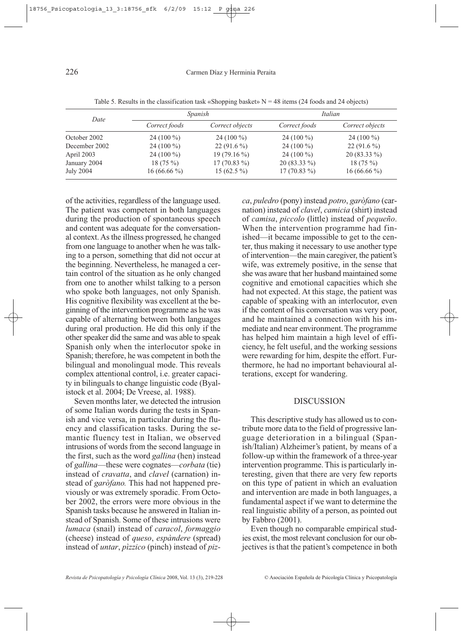| Date             | Spanish       |                 | Italian       |                 |
|------------------|---------------|-----------------|---------------|-----------------|
|                  | Correct foods | Correct objects | Correct foods | Correct objects |
| October 2002     | $24(100\%)$   | $24(100\%)$     | $24(100\%)$   | $24(100\%)$     |
| December 2002    | $24(100\%)$   | $22(91.6\%)$    | $24(100\%)$   | $22(91.6\%)$    |
| April 2003       | $24(100\%)$   | $19(79.16\%)$   | $24(100\%)$   | $20(83.33\%)$   |
| January 2004     | 18 $(75\%)$   | $17(70.83\%)$   | $20(83.33\%)$ | $18(75\%)$      |
| <b>July 2004</b> | $16(66.66\%)$ | $15(62.5\%)$    | $17(70.83\%)$ | $16(66.66\%)$   |

Table 5. Results in the classification task «Shopping basket»  $N = 48$  items (24 foods and 24 objects)

of the activities, regardless of the language used. The patient was competent in both languages during the production of spontaneous speech and content was adequate for the conversational context. As the illness progressed, he changed from one language to another when he was talking to a person, something that did not occur at the beginning. Nevertheless, he managed a certain control of the situation as he only changed from one to another whilst talking to a person who spoke both languages, not only Spanish. His cognitive flexibility was excellent at the beginning of the intervention programme as he was capable of alternating between both languages during oral production. He did this only if the other speaker did the same and was able to speak Spanish only when the interlocutor spoke in Spanish; therefore, he was competent in both the bilingual and monolingual mode. This reveals complex attentional control, i.e. greater capacity in bilinguals to change linguistic code (Byalistock et al. 2004; De Vreese, al. 1988).

Seven months later, we detected the intrusion of some Italian words during the tests in Spanish and vice versa, in particular during the fluency and classification tasks. During the semantic fluency test in Italian, we observed intrusions of words from the second language in the first, such as the word *gallina* (hen) instead of *gallina*—these were cognates—*corbata* (tie) instead of *cravatta*, and *clavel* (carnation) instead of *garòfano.* This had not happened previously or was extremely sporadic. From October 2002, the errors were more obvious in the Spanish tasks because he answered in Italian instead of Spanish. Some of these intrusions were *lumaca* (snail) instead of *caracol*, *formaggio* (cheese) instead of *queso*, *espàndere* (spread) instead of *untar*, *pìzzico* (pinch) instead of *piz-*

*ca*, *puledro* (pony) instead *potro*, *garòfano* (carnation) instead of *clavel*, *camicia* (shirt) instead of *camisa*, *piccolo* (little) instead of *pequeño*. When the intervention programme had finished—it became impossible to get to the center, thus making it necessary to use another type of intervention—the main caregiver, the patient's wife, was extremely positive, in the sense that she was aware that her husband maintained some cognitive and emotional capacities which she had not expected. At this stage, the patient was capable of speaking with an interlocutor, even if the content of his conversation was very poor, and he maintained a connection with his immediate and near environment. The programme has helped him maintain a high level of efficiency, he felt useful, and the working sessions were rewarding for him, despite the effort. Furthermore, he had no important behavioural alterations, except for wandering.

### **DISCUSSION**

This descriptive study has allowed us to contribute more data to the field of progressive language deterioration in a bilingual (Spanish/Italian) Alzheimer's patient, by means of a follow-up within the framework of a three-year intervention programme. This is particularly interesting, given that there are very few reports on this type of patient in which an evaluation and intervention are made in both languages, a fundamental aspect if we want to determine the real linguistic ability of a person, as pointed out by Fabbro (2001).

Even though no comparable empirical studies exist, the most relevant conclusion for our objectives is that the patient's competence in both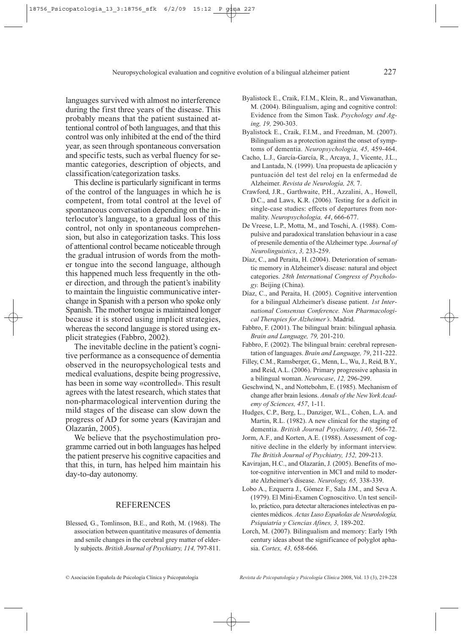languages survived with almost no interference during the first three years of the disease. This probably means that the patient sustained attentional control of both languages, and that this control was only inhibited at the end of the third year, as seen through spontaneous conversation and specific tests, such as verbal fluency for semantic categories, description of objects, and classification/categorization tasks.

This decline is particularly significant in terms of the control of the languages in which he is competent, from total control at the level of spontaneous conversation depending on the interlocutor's language, to a gradual loss of this control, not only in spontaneous comprehension, but also in categorization tasks. This loss of attentional control became noticeable through the gradual intrusion of words from the mother tongue into the second language, although this happened much less frequently in the other direction, and through the patient's inability to maintain the linguistic communicative interchange in Spanish with a person who spoke only Spanish. The mother tongue is maintained longer because it is stored using implicit strategies, whereas the second language is stored using explicit strategies (Fabbro, 2002).

The inevitable decline in the patient's cognitive performance as a consequence of dementia observed in the neuropsychological tests and medical evaluations, despite being progressive, has been in some way «controlled». This result agrees with the latest research, which states that non-pharmacological intervention during the mild stages of the disease can slow down the progress of AD for some years (Kavirajan and Olazarán, 2005).

We believe that the psychostimulation programme carried out in both languages has helped the patient preserve his cognitive capacities and that this, in turn, has helped him maintain his day-to-day autonomy.

### REFERENCES

Blessed, G., Tomlinson, B.E., and Roth, M. (1968). The association between quantitative measures of dementia and senile changes in the cerebral grey matter of elderly subjects. *British Journal of Psychiatry, 114,* 797-811.

- Byalistock E., Craik, F.I.M., Klein, R., and Viswanathan, M. (2004). Bilingualism, aging and cognitive control: Evidence from the Simon Task. *Psychology and Aging, 19,* 290-303.
- Byalistock E., Craik, F.I.M., and Freedman, M. (2007). Bilingualism as a protection against the onset of symptoms of dementia. *Neuropsychologia, 45,* 459-464.
- Cacho, L.J., García-García, R., Arcaya, J., Vicente, J.L., and Lantada, N. (1999). Una propuesta de aplicación y puntuación del test del reloj en la enfermedad de Alzheimer. *Revista de Neurología, 28,* 7.
- Crawford, J.R., Garthwaite, P.H., Azzalini, A., Howell, D.C., and Laws, K.R. (2006). Testing for a deficit in single-case studies: effects of departures from normality. *Neuropsychologia, 44*, 666-677.
- De Vreese, L.P., Motta, M., and Toschi, A. (1988). Compulsive and paradoxical translation behaviour in a case of presenile dementia of the Alzheimer type. *Journal of Neurolinguistics*, *3,* 233-259.
- Díaz, C., and Peraita, H. (2004). Deterioration of semantic memory in Alzheimer's disease: natural and object categories. *28th International Congress of Psychology.* Beijing (China).
- Díaz, C., and Peraita, H. (2005). Cognitive intervention for a bilingual Alzheimer's disease patient. *1st International Consensus Conference. Non Pharmacological Therapies for Alzheimer's*. Madrid.
- Fabbro, F. (2001). The bilingual brain: bilingual aphasia*. Brain and Language, 79,* 201-210.
- Fabbro, F. (2002). The bilingual brain: cerebral representation of languages. *Brain and Language, 79*, 211-222.
- Filley, C.M., Ramsberger, G., Menn, L., Wu, J., Reid, B.Y., and Reid, A.L. (2006). Primary progressive aphasia in a bilingual woman. *Neurocase*, *12,* 296-299.
- Geschwind, N., and Nottebohm, E. (1985). Mechanism of change after brain lesions. *Annals of the New York Academy of Sciences, 457*, 1-11.
- Hudges, C.P., Berg, L., Danziger, W.L., Cohen, L.A. and Martin, R.L. (1982). A new clinical for the staging of dementia. *British Journal Psychiatry, 140*, 566-72.
- Jorm, A.F., and Korten, A.E. (1988). Assessment of cognitive decline in the elderly by informant interview. *The British Journal of Psychiatry, 152,* 209-213.
- Kavirajan, H.C., and Olazarán, J. (2005). Benefits of motor-cognitive intervention in MCI and mild to moderate Alzheimer's disease. *Neurology, 65,* 338-339.
- Lobo A., Ezquerra J., Gómez F., Sala J.M., and Seva A. (1979). El Mini-Examen Cognoscitivo. Un test sencillo, práctico, para detectar alteraciones intelectivas en pacientes médicos. *Actas Luso Españolas de Neurolología, Psiquiatría y Ciencias Afines, 3,* 189-202.
- Lorch, M. (2007). Bilingualism and memory: Early 19th century ideas about the significance of polyglot aphasia. *Cortex, 43,* 658-666*.*